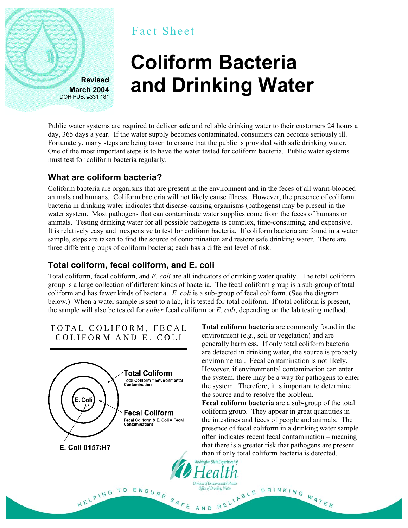

# Fact Sheet

# **Coliform Bacteria and Drinking Water**

Public water systems are required to deliver safe and reliable drinking water to their customers 24 hours a day, 365 days a year. If the water supply becomes contaminated, consumers can become seriously ill. Fortunately, many steps are being taken to ensure that the public is provided with safe drinking water. One of the most important steps is to have the water tested for coliform bacteria. Public water systems must test for coliform bacteria regularly.

## **What are coliform bacteria?**

Coliform bacteria are organisms that are present in the environment and in the feces of all warm-blooded animals and humans. Coliform bacteria will not likely cause illness. However, the presence of coliform bacteria in drinking water indicates that disease-causing organisms (pathogens) may be present in the water system. Most pathogens that can contaminate water supplies come from the feces of humans or animals. Testing drinking water for all possible pathogens is complex, time-consuming, and expensive. It is relatively easy and inexpensive to test for coliform bacteria. If coliform bacteria are found in a water sample, steps are taken to find the source of contamination and restore safe drinking water. There are three different groups of coliform bacteria; each has a different level of risk.

# **Total coliform, fecal coliform, and E. coli**

Total coliform, fecal coliform, and *E. coli* are all indicators of drinking water quality. The total coliform group is a large collection of different kinds of bacteria. The fecal coliform group is a sub-group of total coliform and has fewer kinds of bacteria. *E. coli* is a sub-group of fecal coliform. (See the diagram below.) When a water sample is sent to a lab, it is tested for total coliform. If total coliform is present, the sample will also be tested for *either* fecal coliform or *E. coli*, depending on the lab testing method.

TOTAL COLIFORM, FECAL COLIFORM AND E. COLI



**Total coliform bacteria** are commonly found in the environment (e.g., soil or vegetation) and are generally harmless. If only total coliform bacteria are detected in drinking water, the source is probably environmental. Fecal contamination is not likely. However, if environmental contamination can enter the system, there may be a way for pathogens to enter the system. Therefore, it is important to determine the source and to resolve the problem.

**Fecal coliform bacteria** are a sub-group of the total coliform group. They appear in great quantities in the intestines and feces of people and animals. The presence of fecal coliform in a drinking water sample often indicates recent fecal contamination – meaning that there is a greater risk that pathogens are present than if only total coliform bacteria is detected.

Office of Drinking Water<br>AND RELIABLE DRINKING WATER<br>AND RELIABLE DRINKING WATER